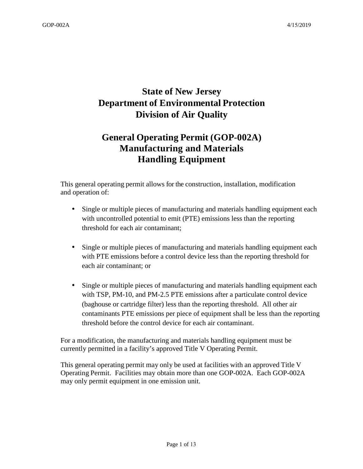# **State of New Jersey Department of Environmental Protection Division of Air Quality**

# **General Operating Permit (GOP-002A) Manufacturing and Materials Handling Equipment**

This general operating permit allows for the construction, installation, modification and operation of:

- Single or multiple pieces of manufacturing and materials handling equipment each with uncontrolled potential to emit (PTE) emissions less than the reporting threshold for each air contaminant;
- Single or multiple pieces of manufacturing and materials handling equipment each with PTE emissions before a control device less than the reporting threshold for each air contaminant; or
- Single or multiple pieces of manufacturing and materials handling equipment each with TSP, PM-10, and PM-2.5 PTE emissions after a particulate control device (baghouse or cartridge filter) less than the reporting threshold. All other air contaminants PTE emissions per piece of equipment shall be less than the reporting threshold before the control device for each air contaminant.

For a modification, the manufacturing and materials handling equipment must be currently permitted in a facility's approved Title V Operating Permit.

This general operating permit may only be used at facilities with an approved Title V Operating Permit. Facilities may obtain more than one GOP-002A. Each GOP-002A may only permit equipment in one emission unit.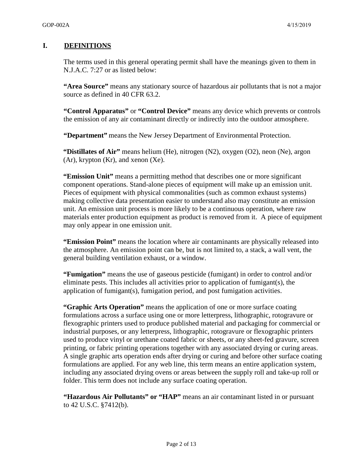### **I. DEFINITIONS**

The terms used in this general operating permit shall have the meanings given to them in N.J.A.C. 7:27 or as listed below:

**"Area Source"** means any stationary source of hazardous air pollutants that is not a major source as defined in 40 CFR 63.2.

**"Control Apparatus"** or **"Control Device"** means any device which prevents or controls the emission of any air contaminant directly or indirectly into the outdoor atmosphere.

**"Department"** means the New Jersey Department of Environmental Protection.

**"Distillates of Air"** means helium (He), nitrogen (N2), oxygen (O2), neon (Ne), argon  $(Ar)$ , krypton  $(Kr)$ , and xenon  $(Xe)$ .

**"Emission Unit"** means a permitting method that describes one or more significant component operations. Stand-alone pieces of equipment will make up an emission unit. Pieces of equipment with physical commonalities (such as common exhaust systems) making collective data presentation easier to understand also may constitute an emission unit. An emission unit process is more likely to be a continuous operation, where raw materials enter production equipment as product is removed from it. A piece of equipment may only appear in one emission unit.

**"Emission Point"** means the location where air contaminants are physically released into the atmosphere. An emission point can be, but is not limited to, a stack, a wall vent, the general building ventilation exhaust, or a window.

**"Fumigation"** means the use of gaseous pesticide (fumigant) in order to control and/or eliminate pests. This includes all activities prior to application of fumigant(s), the application of fumigant(s), fumigation period, and post fumigation activities.

**"Graphic Arts Operation"** means the application of one or more surface coating formulations across a surface using one or more letterpress, lithographic, rotogravure or flexographic printers used to produce published material and packaging for commercial or industrial purposes, or any letterpress, lithographic, rotogravure or flexographic printers used to produce vinyl or urethane coated fabric or sheets, or any sheet-fed gravure, screen printing, or fabric printing operations together with any associated drying or curing areas. A single graphic arts operation ends after drying or curing and before other surface coating formulations are applied. For any web line, this term means an entire application system, including any associated drying ovens or areas between the supply roll and take-up roll or folder. This term does not include any surface coating operation.

**"Hazardous Air Pollutants" or "HAP"** means an air contaminant listed in or pursuant to 42 U.S.C. §7412(b).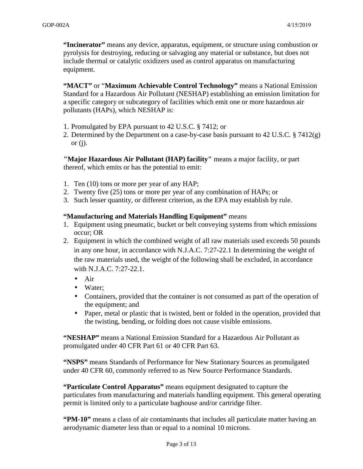**"Incinerator"** means any device, apparatus, equipment, or structure using combustion or pyrolysis for destroying, reducing or salvaging any material or substance, but does not include thermal or catalytic oxidizers used as control apparatus on manufacturing equipment.

**"MACT"** or "**Maximum Achievable Control Technology"** means a National Emission Standard for a Hazardous Air Pollutant (NESHAP) establishing an emission limitation for a specific category or subcategory of facilities which emit one or more hazardous air pollutants (HAPs), which NESHAP is:

- 1. Promulgated by EPA pursuant to 42 U.S.C. § 7412; or
- 2. Determined by the Department on a case-by-case basis pursuant to 42 U.S.C. § 7412(g) or  $(i)$ .

**"Major Hazardous Air Pollutant (HAP) facility"** means a major facility, or part thereof, which emits or has the potential to emit:

- 1. Ten (10) tons or more per year of any HAP;
- 2. Twenty five (25) tons or more per year of any combination of HAPs; or
- 3. Such lesser quantity, or different criterion, as the EPA may establish by rule.

#### **"Manufacturing and Materials Handling Equipment"** means

- 1. Equipment using pneumatic, bucket or belt conveying systems from which emissions occur; OR
- 2. Equipment in which the combined weight of all raw materials used exceeds 50 pounds in any one hour, in accordance with N.J.A.C. 7:27-22.1 In determining the weight of the raw materials used, the weight of the following shall be excluded, in accordance with N.J.A.C. 7:27-22.1.
	- Air
	- Water;
	- Containers, provided that the container is not consumed as part of the operation of the equipment; and
	- Paper, metal or plastic that is twisted, bent or folded in the operation, provided that the twisting, bending, or folding does not cause visible emissions.

**"NESHAP"** means a National Emission Standard for a Hazardous Air Pollutant as promulgated under 40 CFR Part 61 or 40 CFR Part 63.

**"NSPS"** means Standards of Performance for New Stationary Sources as promulgated under 40 CFR 60, commonly referred to as New Source Performance Standards.

**"Particulate Control Apparatus"** means equipment designated to capture the particulates from manufacturing and materials handling equipment. This general operating permit is limited only to a particulate baghouse and/or cartridge filter.

**"PM-10"** means a class of air contaminants that includes all particulate matter having an aerodynamic diameter less than or equal to a nominal 10 microns.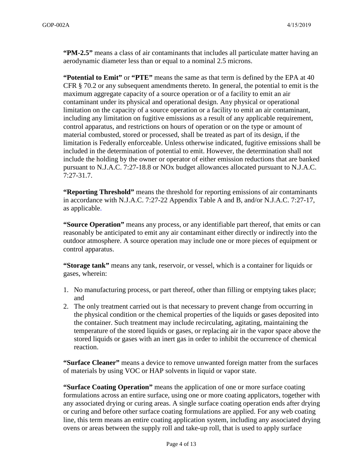**"PM-2.5"** means a class of air contaminants that includes all particulate matter having an aerodynamic diameter less than or equal to a nominal 2.5 microns.

**"Potential to Emit"** or **"PTE"** means the same as that term is defined by the EPA at 40 CFR § 70.2 or any subsequent amendments thereto. In general, the potential to emit is the maximum aggregate capacity of a source operation or of a facility to emit an air contaminant under its physical and operational design. Any physical or operational limitation on the capacity of a source operation or a facility to emit an air contaminant, including any limitation on fugitive emissions as a result of any applicable requirement, control apparatus, and restrictions on hours of operation or on the type or amount of material combusted, stored or processed, shall be treated as part of its design, if the limitation is Federally enforceable. Unless otherwise indicated, fugitive emissions shall be included in the determination of potential to emit. However, the determination shall not include the holding by the owner or operator of either emission reductions that are banked pursuant to N.J.A.C. 7:27-18.8 or NOx budget allowances allocated pursuant to N.J.A.C. 7:27-31.7.

**"Reporting Threshold"** means the threshold for reporting emissions of air contaminants in accordance with N.J.A.C. 7:27-22 Appendix Table A and B, and/or N.J.A.C. 7:27-17, as applicable.

**"Source Operation"** means any process, or any identifiable part thereof, that emits or can reasonably be anticipated to emit any air contaminant either directly or indirectly into the outdoor atmosphere. A source operation may include one or more pieces of equipment or control apparatus.

**"Storage tank"** means any tank, reservoir, or vessel, which is a container for liquids or gases, wherein:

- 1. No manufacturing process, or part thereof, other than filling or emptying takes place; and
- 2. The only treatment carried out is that necessary to prevent change from occurring in the physical condition or the chemical properties of the liquids or gases deposited into the container. Such treatment may include recirculating, agitating, maintaining the temperature of the stored liquids or gases, or replacing air in the vapor space above the stored liquids or gases with an inert gas in order to inhibit the occurrence of chemical reaction.

**"Surface Cleaner"** means a device to remove unwanted foreign matter from the surfaces of materials by using VOC or HAP solvents in liquid or vapor state.

**"Surface Coating Operation"** means the application of one or more surface coating formulations across an entire surface, using one or more coating applicators, together with any associated drying or curing areas. A single surface coating operation ends after drying or curing and before other surface coating formulations are applied. For any web coating line, this term means an entire coating application system, including any associated drying ovens or areas between the supply roll and take-up roll, that is used to apply surface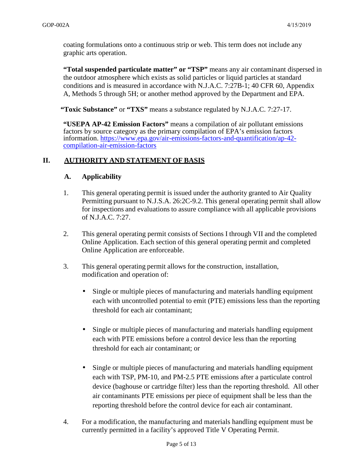coating formulations onto a continuous strip or web. This term does not include any graphic arts operation.

**"Total suspended particulate matter" or "TSP"** means any air contaminant dispersed in the outdoor atmosphere which exists as solid particles or liquid particles at standard conditions and is measured in accordance with N.J.A.C. 7:27B-1; 40 CFR 60, Appendix A, Methods 5 through 5H; or another method approved by the Department and EPA.

**"Toxic Substance"** or **"TXS"** means a substance regulated by N.J.A.C. 7:27-17.

**"USEPA AP-42 Emission Factors"** means a compilation of air pollutant emissions factors by source category as the primary compilation of EPA's emission factors information. https://www.epa.gov/air-emissions-factors-and-quantification/ap-42 compilation-air-emission-factors

#### **II. AUTHORITY AND STATEMENT OF BASIS**

#### **A. Applicability**

- 1. This general operating permit is issued under the authority granted to Air Quality Permitting pursuant to N.J.S.A. 26:2C-9.2. This general operating permit shall allow for inspections and evaluations to assure compliance with all applicable provisions of N.J.A.C. 7:27.
- 2. This general operating permit consists of Sections I through VII and the completed Online Application. Each section of this general operating permit and completed Online Application are enforceable.
- 3. This general operating permit allows for the construction, installation, modification and operation of:
	- Single or multiple pieces of manufacturing and materials handling equipment each with uncontrolled potential to emit (PTE) emissions less than the reporting threshold for each air contaminant;
	- Single or multiple pieces of manufacturing and materials handling equipment each with PTE emissions before a control device less than the reporting threshold for each air contaminant; or
	- Single or multiple pieces of manufacturing and materials handling equipment each with TSP, PM-10, and PM-2.5 PTE emissions after a particulate control device (baghouse or cartridge filter) less than the reporting threshold. All other air contaminants PTE emissions per piece of equipment shall be less than the reporting threshold before the control device for each air contaminant.
- 4. For a modification, the manufacturing and materials handling equipment must be currently permitted in a facility's approved Title V Operating Permit.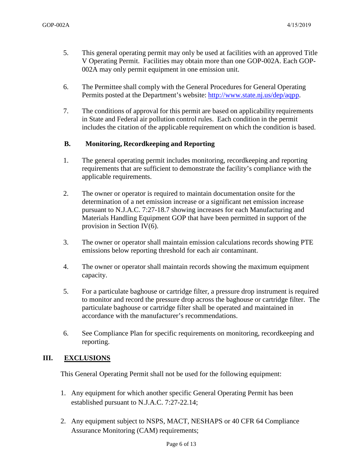- 5. This general operating permit may only be used at facilities with an approved Title V Operating Permit. Facilities may obtain more than one GOP-002A. Each GOP-002A may only permit equipment in one emission unit.
- 6. The Permittee shall comply with the General Procedures for General Operating Permits posted at the Department's website: http://www.state.nj.us/dep/aqpp.
- 7. The conditions of approval for this permit are based on applicability requirements in State and Federal air pollution control rules. Each condition in the permit includes the citation of the applicable requirement on which the condition is based.

#### **B. Monitoring, Recordkeeping and Reporting**

- 1. The general operating permit includes monitoring, recordkeeping and reporting requirements that are sufficient to demonstrate the facility's compliance with the applicable requirements.
- 2. The owner or operator is required to maintain documentation onsite for the determination of a net emission increase or a significant net emission increase pursuant to N.J.A.C. 7:27-18.7 showing increases for each Manufacturing and Materials Handling Equipment GOP that have been permitted in support of the provision in Section IV(6).
- 3. The owner or operator shall maintain emission calculations records showing PTE emissions below reporting threshold for each air contaminant.
- 4. The owner or operator shall maintain records showing the maximum equipment capacity.
- 5. For a particulate baghouse or cartridge filter, a pressure drop instrument is required to monitor and record the pressure drop across the baghouse or cartridge filter. The particulate baghouse or cartridge filter shall be operated and maintained in accordance with the manufacturer's recommendations.
- 6. See Compliance Plan for specific requirements on monitoring, recordkeeping and reporting.

#### **III. EXCLUSIONS**

This General Operating Permit shall not be used for the following equipment:

- 1. Any equipment for which another specific General Operating Permit has been established pursuant to N.J.A.C. 7:27-22.14;
- 2. Any equipment subject to NSPS, MACT, NESHAPS or 40 CFR 64 Compliance Assurance Monitoring (CAM) requirements;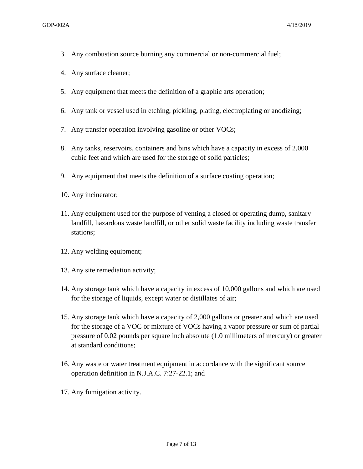- 3. Any combustion source burning any commercial or non-commercial fuel;
- 4. Any surface cleaner;
- 5. Any equipment that meets the definition of a graphic arts operation;
- 6. Any tank or vessel used in etching, pickling, plating, electroplating or anodizing;
- 7. Any transfer operation involving gasoline or other VOCs;
- 8. Any tanks, reservoirs, containers and bins which have a capacity in excess of 2,000 cubic feet and which are used for the storage of solid particles;
- 9. Any equipment that meets the definition of a surface coating operation;
- 10. Any incinerator;
- 11. Any equipment used for the purpose of venting a closed or operating dump, sanitary landfill, hazardous waste landfill, or other solid waste facility including waste transfer stations;
- 12. Any welding equipment;
- 13. Any site remediation activity;
- 14. Any storage tank which have a capacity in excess of 10,000 gallons and which are used for the storage of liquids, except water or distillates of air;
- 15. Any storage tank which have a capacity of 2,000 gallons or greater and which are used for the storage of a VOC or mixture of VOCs having a vapor pressure or sum of partial pressure of 0.02 pounds per square inch absolute (1.0 millimeters of mercury) or greater at standard conditions;
- 16. Any waste or water treatment equipment in accordance with the significant source operation definition in N.J.A.C. 7:27-22.1; and
- 17. Any fumigation activity.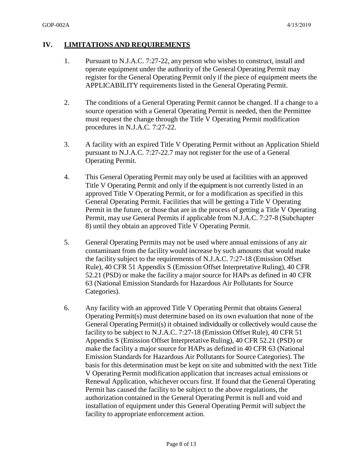#### **IV. LIMITATIONS AND REQUIREMENTS**

- 1. Pursuant to N.J.A.C. 7:27-22, any person who wishes to construct, install and operate equipment under the authority of the General Operating Permit may register for the General Operating Permit only if the piece of equipment meets the APPLICABILITY requirements listed in the General Operating Permit.
- 2. The conditions of a General Operating Permit cannot be changed. If a change to a source operation with a General Operating Permit is needed, then the Permittee must request the change through the Title V Operating Permit modification procedures in N.J.A.C. 7:27-22.
- 3. A facility with an expired Title V Operating Permit without an Application Shield pursuant to N.J.A.C. 7:27-22.7 may not register for the use of a General Operating Permit.
- 4. This General Operating Permit may only be used at facilities with an approved Title V Operating Permit and only if the equipment is not currently listed in an approved Title V Operating Permit, or for a modification as specified in this General Operating Permit. Facilities that will be getting a Title V Operating Permit in the future, or those that are in the process of getting a Title V Operating Permit, may use General Permits if applicable from N.J.A.C. 7:27-8 (Subchapter 8) until they obtain an approved Title V Operating Permit.
- 5. General Operating Permits may not be used where annual emissions of any air contaminant from the facility would increase by such amounts that would make the facility subject to the requirements of N.J.A.C. 7:27-18 (Emission Offset Rule), 40 CFR 51 Appendix S (Emission Offset Interpretative Ruling), 40 CFR 52.21 (PSD) or make the facility a major source for HAPs as defined in 40 CFR 63 (National Emission Standards for Hazardous Air Pollutants for Source Categories).
- 6. Any facility with an approved Title V Operating Permit that obtains General Operating Permit(s) must determine based on its own evaluation that none of the General Operating Permit(s) it obtained individually or collectively would cause the facility to be subject to N.J.A.C. 7:27-18 (Emission Offset Rule), 40 CFR 51 Appendix S (Emission Offset Interpretative Ruling), 40 CFR 52.21 (PSD) or make the facility a major source for HAPs as defined in 40 CFR 63 (National Emission Standards for Hazardous Air Pollutants for Source Categories). The basis for this determination must be kept on site and submitted with the next Title V Operating Permit modification application that increases actual emissions or Renewal Application, whichever occurs first. If found that the General Operating Permit has caused the facility to be subject to the above regulations, the authorization contained in the General Operating Permit is null and void and installation of equipment under this General Operating Permit will subject the facility to appropriate enforcement action.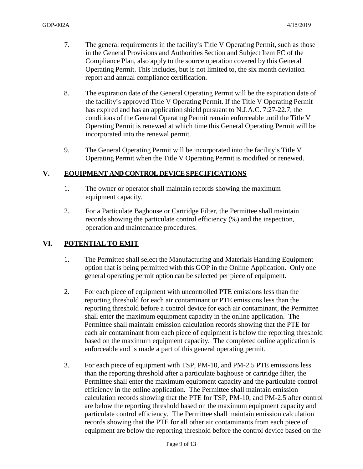- 7. The general requirements in the facility's Title V Operating Permit, such as those in the General Provisions and Authorities Section and Subject Item FC of the Compliance Plan, also apply to the source operation covered by this General Operating Permit. This includes, but is not limited to, the six month deviation report and annual compliance certification.
- 8. The expiration date of the General Operating Permit will be the expiration date of the facility's approved Title V Operating Permit. If the Title V Operating Permit has expired and has an application shield pursuant to N.J.A.C. 7:27-22.7, the conditions of the General Operating Permit remain enforceable until the Title V Operating Permit is renewed at which time this General Operating Permit will be incorporated into the renewal permit.
- 9. The General Operating Permit will be incorporated into the facility's Title V Operating Permit when the Title V Operating Permit is modified or renewed.

#### **V. EQUIPMENT AND CONTROL DEVICE SPECIFICATIONS**

- 1. The owner or operator shall maintain records showing the maximum equipment capacity.
- 2. For a Particulate Baghouse or Cartridge Filter, the Permittee shall maintain records showing the particulate control efficiency (%) and the inspection, operation and maintenance procedures.

#### **VI. POTENTIAL TO EMIT**

- 1. The Permittee shall select the Manufacturing and Materials Handling Equipment option that is being permitted with this GOP in the Online Application. Only one general operating permit option can be selected per piece of equipment.
- 2. For each piece of equipment with uncontrolled PTE emissions less than the reporting threshold for each air contaminant or PTE emissions less than the reporting threshold before a control device for each air contaminant, the Permittee shall enter the maximum equipment capacity in the online application. The Permittee shall maintain emission calculation records showing that the PTE for each air contaminant from each piece of equipment is below the reporting threshold based on the maximum equipment capacity. The completed online application is enforceable and is made a part of this general operating permit.
- 3. For each piece of equipment with TSP, PM-10, and PM-2.5 PTE emissions less than the reporting threshold after a particulate baghouse or cartridge filter, the Permittee shall enter the maximum equipment capacity and the particulate control efficiency in the online application. The Permittee shall maintain emission calculation records showing that the PTE for TSP, PM-10, and PM-2.5 after control are below the reporting threshold based on the maximum equipment capacity and particulate control efficiency. The Permittee shall maintain emission calculation records showing that the PTE for all other air contaminants from each piece of equipment are below the reporting threshold before the control device based on the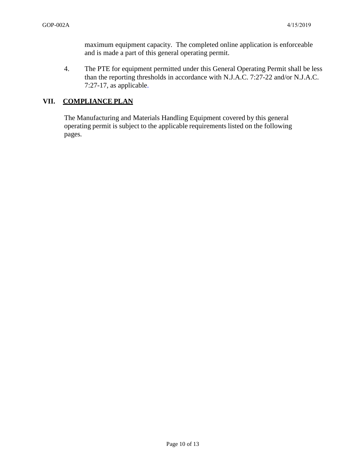maximum equipment capacity. The completed online application is enforceable and is made a part of this general operating permit.

4. The PTE for equipment permitted under this General Operating Permit shall be less than the reporting thresholds in accordance with N.J.A.C. 7:27-22 and/or N.J.A.C. 7:27-17, as applicable.

## **VII. COMPLIANCE PLAN**

The Manufacturing and Materials Handling Equipment covered by this general operating permit is subject to the applicable requirements listed on the following pages.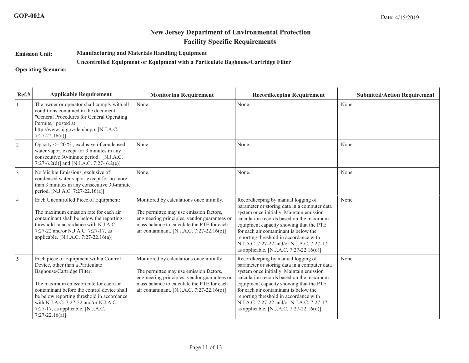### **New Jersey Department of Environmental ProtectionFacility Specific Requirements**

**Emission Unit:Manufacturing and Materials Handling Equipment**

#### **Uncontrolled Equipment or Equipment with a Particulate Baghouse/Cartridge Filter**

**Operating Scenario:**

| Ref.#          | <b>Applicable Requirement</b>                                                                                                                                                                                                                                                                                                                    | <b>Monitoring Requirement</b>                                                                                                                                                                                                   | <b>Recordkeeping Requirement</b>                                                                                                                                                                                                                                                                                                                                                                 | <b>Submittal/Action Requirement</b> |
|----------------|--------------------------------------------------------------------------------------------------------------------------------------------------------------------------------------------------------------------------------------------------------------------------------------------------------------------------------------------------|---------------------------------------------------------------------------------------------------------------------------------------------------------------------------------------------------------------------------------|--------------------------------------------------------------------------------------------------------------------------------------------------------------------------------------------------------------------------------------------------------------------------------------------------------------------------------------------------------------------------------------------------|-------------------------------------|
|                | The owner or operator shall comply with all<br>conditions contained in the document<br>"General Procedures for General Operating<br>Permits," posted at<br>http://www.nj.gov/dep/aqpp. [N.J.A.C.<br>$7:27-22.16(a)$                                                                                                                              | None.                                                                                                                                                                                                                           | None.                                                                                                                                                                                                                                                                                                                                                                                            | None.                               |
| $\overline{2}$ | Opacity $\leq$ 20 %, exclusive of condensed<br>water vapor, except for 3 minutes in any<br>consecutive 30-minute period. [N.J.A.C.]<br>7:27-6.2(d)] and [N.J.A.C. 7:27-6.2(e)]                                                                                                                                                                   | None.                                                                                                                                                                                                                           | None.                                                                                                                                                                                                                                                                                                                                                                                            | None.                               |
| $\vert$ 3      | No Visible Emissions, exclusive of<br>condensed water vapor, except for no more<br>than 3 minutes in any consecutive 30-minute<br>period. [N.J.A.C. 7:27-22.16(a)]                                                                                                                                                                               | None.                                                                                                                                                                                                                           | None.                                                                                                                                                                                                                                                                                                                                                                                            | None.                               |
| 4              | Each Uncontrolled Piece of Equipment:<br>The maximum emission rate for each air<br>contaminant shall be below the reporting<br>threshold in accordance with N.J.A.C.<br>7:27-22 and/or N.J.A.C. 7:27-17, as<br>applicable. [N.J.A.C. 7:27-22.16(a)]                                                                                              | Monitored by calculations once initially.<br>The permittee may use emission factors,<br>engineering principles, vendor guarantees or<br>mass balance to calculate the PTE for each<br>air contaminant. [N.J.A.C. 7:27-22.16(o)] | Recordkeeping by manual logging of<br>parameter or storing data in a computer data<br>system once initially. Maintain emission<br>calculation records based on the maximum<br>equipment capacity showing that the PTE<br>for each air contaminant is below the<br>reporting threshold in accordance with<br>N.J.A.C. 7:27-22 and/or N.J.A.C. 7:27-17,<br>as applicable. [N.J.A.C. 7:27-22.16(0)] | None.                               |
| 5              | Each piece of Equipment with a Control<br>Device, other than a Particulate<br>Baghouse/Cartridge Filter:<br>The maximum emission rate for each air<br>contaminant before the control device shall<br>be below reporting threshold in accordance<br>with N.J.A.C. 7:27-22 and/or N.J.A.C.<br>7:27-17, as applicable. [N.J.A.C.<br>$7:27-22.16(a)$ | Monitored by calculations once initially.<br>The permittee may use emission factors,<br>engineering principles, vendor guarantees or<br>mass balance to calculate the PTE for each<br>air contaminant. [N.J.A.C. 7:27-22.16(o)] | Recordkeeping by manual logging of<br>parameter or storing data in a computer data<br>system once initially. Maintain emission<br>calculation records based on the maximum<br>equipment capacity showing that the PTE<br>for each air contaminant is below the<br>reporting threshold in accordance with<br>N.J.A.C. 7:27-22 and/or N.J.A.C. 7:27-17,<br>as applicable. [N.J.A.C. 7:27-22.16(o)] | None.                               |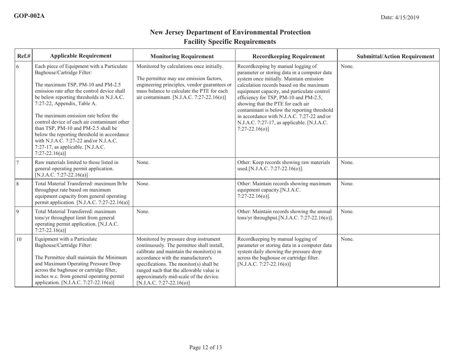# **New Jersey Department of Environmental ProtectionFacility Specific Requirements**

| Ref.# | <b>Applicable Requirement</b>                                                                                                                                                                                                                                                                                                                                                                                                                                                                                            | <b>Monitoring Requirement</b>                                                                                                                                                                                                                                                                                                       | <b>Recordkeeping Requirement</b>                                                                                                                                                                                                                                                                                                                                                                                                                                         | <b>Submittal/Action Requirement</b> |
|-------|--------------------------------------------------------------------------------------------------------------------------------------------------------------------------------------------------------------------------------------------------------------------------------------------------------------------------------------------------------------------------------------------------------------------------------------------------------------------------------------------------------------------------|-------------------------------------------------------------------------------------------------------------------------------------------------------------------------------------------------------------------------------------------------------------------------------------------------------------------------------------|--------------------------------------------------------------------------------------------------------------------------------------------------------------------------------------------------------------------------------------------------------------------------------------------------------------------------------------------------------------------------------------------------------------------------------------------------------------------------|-------------------------------------|
| 6     | Each piece of Equipment with a Particulate<br>Baghouse/Cartridge Filter:<br>The maximum TSP, PM-10 and PM-2.5<br>emission rate after the control device shall<br>be below reporting thresholds in N.J.A.C.<br>7:27-22, Appendix, Table A.<br>The maximum emission rate before the<br>control device of each air contaminant other<br>than TSP, PM-10 and PM-2.5 shall be<br>below the reporting threshold in accordance<br>with N.J.A.C. 7:27-22 and/or N.J.A.C.<br>7:27-17, as applicable. [N.J.A.C.<br>$7:27-22.16(a)$ | Monitored by calculations once initially.<br>The permittee may use emission factors,<br>engineering principles, vendor guarantees or<br>mass balance to calculate the PTE for each<br>air contaminant. [N.J.A.C. 7:27-22.16(o)]                                                                                                     | Recordkeeping by manual logging of<br>parameter or storing data in a computer data<br>system once initially. Maintain emission<br>calculation records based on the maximum<br>equipment capacity, and particulate control<br>efficiency for TSP, PM-10 and PM-2.5,<br>showing that the PTE for each air<br>contaminant is below the reporting threshold<br>in accordance with N.J.A.C. 7:27-22 and/or<br>N.J.A.C. 7:27-17, as applicable. [N.J.A.C.<br>$7:27-22.16(o)$ ] | None.                               |
|       | Raw materials limited to those listed in<br>general operating permit application.<br>[N.J.A.C. 7:27-22.16(a)]                                                                                                                                                                                                                                                                                                                                                                                                            | None.                                                                                                                                                                                                                                                                                                                               | Other: Keep records showing raw materials<br>used.[N.J.A.C. 7:27-22.16(o)].                                                                                                                                                                                                                                                                                                                                                                                              | None.                               |
| 8     | Total Material Transferred: maximum lb/hr<br>throughput rate based on maximum<br>equipment capacity from general operating<br>permit application. [N.J.A.C. 7:27-22.16(a)]                                                                                                                                                                                                                                                                                                                                               | None.                                                                                                                                                                                                                                                                                                                               | Other: Maintain records showing maximum<br>equipment capacity.[N.J.A.C.<br>$7:27-22.16(0)$ .                                                                                                                                                                                                                                                                                                                                                                             | None.                               |
| 9     | Total Material Transferred: maximum<br>tons/yr throughput limit from general<br>operating permit application. [N.J.A.C.<br>$7:27-22.16(a)$ ]                                                                                                                                                                                                                                                                                                                                                                             | None.                                                                                                                                                                                                                                                                                                                               | Other: Maintain records showing the annual<br>tons/yr throughput. [N.J.A.C. $7:27-22.16(0)$ ].                                                                                                                                                                                                                                                                                                                                                                           | None.                               |
| 10    | Equipment with a Particulate<br>Baghouse/Cartridge Filter:<br>The Permittee shall maintain the Minimum<br>and Maximum Operating Pressure Drop<br>across the baghouse or cartridge filter,<br>inches w.c. from general operating permit<br>application. [N.J.A.C. 7:27-22.16(a)]                                                                                                                                                                                                                                          | Monitored by pressure drop instrument<br>continuously. The permittee shall install,<br>calibrate and maintain the monitor(s) in<br>accordance with the manufacturer's<br>specifications. The monitor(s) shall be<br>ranged such that the allowable value is<br>approximately mid-scale of the device.<br>$[N.J.A.C. 7:27-22.16(o)]$ | Recordkeeping by manual logging of<br>parameter or storing data in a computer data<br>system daily showing the pressure drop<br>across the baghouse or cartridge filter.<br>[N.J.A.C. 7:27-22.16(o)]                                                                                                                                                                                                                                                                     | None.                               |